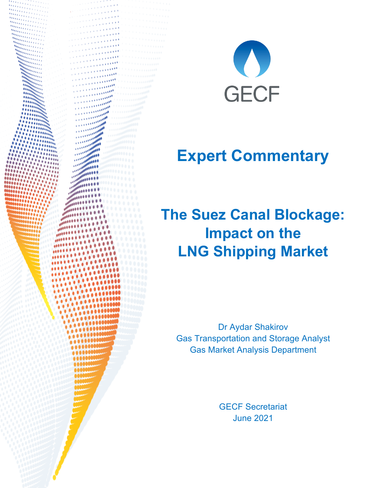



## **Expert Commentary**

## **The Suez Canal Blockage: Impact on the LNG Shipping Market**

Dr Aydar Shakirov Gas Transportation and Storage Analyst Gas Market Analysis Department

> GECF Secretariat June 2021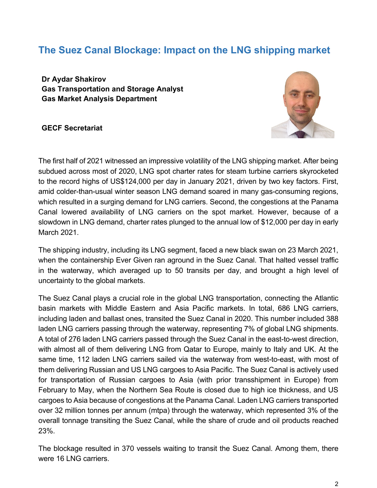## **The Suez Canal Blockage: Impact on the LNG shipping market**

**Dr Aydar Shakirov Gas Transportation and Storage Analyst Gas Market Analysis Department**

**GECF Secretariat**



The first half of 2021 witnessed an impressive volatility of the LNG shipping market. After being subdued across most of 2020, LNG spot charter rates for steam turbine carriers skyrocketed to the record highs of US\$124,000 per day in January 2021, driven by two key factors. First, amid colder-than-usual winter season LNG demand soared in many gas-consuming regions, which resulted in a surging demand for LNG carriers. Second, the congestions at the Panama Canal lowered availability of LNG carriers on the spot market. However, because of a slowdown in LNG demand, charter rates plunged to the annual low of \$12,000 per day in early March 2021.

The shipping industry, including its LNG segment, faced a new black swan on 23 March 2021, when the containership Ever Given ran aground in the Suez Canal. That halted vessel traffic in the waterway, which averaged up to 50 transits per day, and brought a high level of uncertainty to the global markets.

The Suez Canal plays a crucial role in the global LNG transportation, connecting the Atlantic basin markets with Middle Eastern and Asia Pacific markets. In total, 686 LNG carriers, including laden and ballast ones, transited the Suez Canal in 2020. This number included 388 laden LNG carriers passing through the waterway, representing 7% of global LNG shipments. A total of 276 laden LNG carriers passed through the Suez Canal in the east-to-west direction, with almost all of them delivering LNG from Qatar to Europe, mainly to Italy and UK. At the same time, 112 laden LNG carriers sailed via the waterway from west-to-east, with most of them delivering Russian and US LNG cargoes to Asia Pacific. The Suez Canal is actively used for transportation of Russian cargoes to Asia (with prior transshipment in Europe) from February to May, when the Northern Sea Route is closed due to high ice thickness, and US cargoes to Asia because of congestions at the Panama Canal. Laden LNG carriers transported over 32 million tonnes per annum (mtpa) through the waterway, which represented 3% of the overall tonnage transiting the Suez Canal, while the share of crude and oil products reached 23%.

The blockage resulted in 370 vessels waiting to transit the Suez Canal. Among them, there were 16 LNG carriers.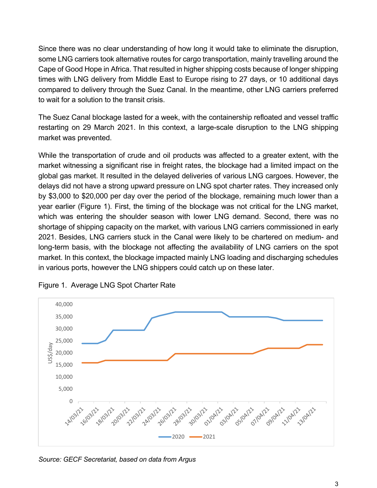Since there was no clear understanding of how long it would take to eliminate the disruption, some LNG carriers took alternative routes for cargo transportation, mainly travelling around the Cape of Good Hope in Africa. That resulted in higher shipping costs because of longer shipping times with LNG delivery from Middle East to Europe rising to 27 days, or 10 additional days compared to delivery through the Suez Canal. In the meantime, other LNG carriers preferred to wait for a solution to the transit crisis.

The Suez Canal blockage lasted for a week, with the containership refloated and vessel traffic restarting on 29 March 2021. In this context, a large-scale disruption to the LNG shipping market was prevented.

While the transportation of crude and oil products was affected to a greater extent, with the market witnessing a significant rise in freight rates, the blockage had a limited impact on the global gas market. It resulted in the delayed deliveries of various LNG cargoes. However, the delays did not have a strong upward pressure on LNG spot charter rates. They increased only by \$3,000 to \$20,000 per day over the period of the blockage, remaining much lower than a year earlier (Figure 1). First, the timing of the blockage was not critical for the LNG market, which was entering the shoulder season with lower LNG demand. Second, there was no shortage of shipping capacity on the market, with various LNG carriers commissioned in early 2021. Besides, LNG carriers stuck in the Canal were likely to be chartered on medium- and long-term basis, with the blockage not affecting the availability of LNG carriers on the spot market. In this context, the blockage impacted mainly LNG loading and discharging schedules in various ports, however the LNG shippers could catch up on these later.



Figure 1. Average LNG Spot Charter Rate

*Source: GECF Secretariat, based on data from Argus*